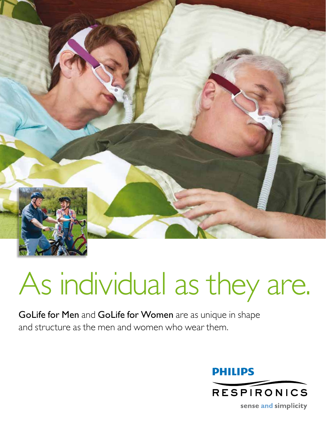

## As individual as they are.

GoLife for Men and GoLife for Women are as unique in shape and structure as the men and women who wear them.

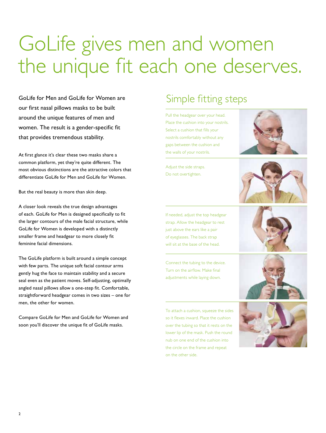## GoLife gives men and women the unique fit each one deserves.

GoLife for Men and GoLife for Women are our first nasal pillows masks to be built around the unique features of men and women. The result is a gender-specific fit that provides tremendous stability.

At first glance it's clear these two masks share a common platform, yet they're quite different. The most obvious distinctions are the attractive colors that differentiate GoLife for Men and GoLife for Women.

But the real beauty is more than skin deep.

A closer look reveals the true design advantages of each. GoLife for Men is designed specifically to fit the larger contours of the male facial structure, while GoLife for Women is developed with a distinctly smaller frame and headgear to more closely fit feminine facial dimensions.

The GoLife platform is built around a simple concept with few parts. The unique soft facial contour arms gently hug the face to maintain stability and a secure seal even as the patient moves. Self-adjusting, optimally angled nasal pillows allow a one-step fit. Comfortable, straightforward headgear comes in two sizes – one for men, the other for women.

Compare GoLife for Men and GoLife for Women and soon you'll discover the unique fit of GoLife masks.

## Simple fitting steps

Pull the headgear over your head. Place the cushion into your nostrils. Select a cushion that fills your nostrils comfortably without any gaps between the cushion and the walls of your nostrils.

Adjust the side straps. Do not overtighten.





If needed, adjust the top headgear strap. Allow the headgear to rest just above the ears like a pair of eyeglasses. The back strap will sit at the base of the head.

Connect the tubing to the device. Turn on the airflow. Make final adjustments while laying down.

To attach a cushion, squeeze the sides so it flexes inward. Place the cushion over the tubing so that it rests on the lower lip of the mask. Push the round nub on one end of the cushion into the circle on the frame and repeat on the other side.





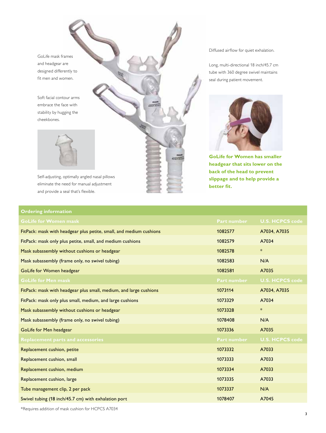GoLife mask frames and headgear are designed differently to fit men and women.

Soft facial contour arms embrace the face with stability by hugging the cheekbones.



Self-adjusting, optimally angled nasal pillows eliminate the need for manual adjustment and provide a seal that's flexible.

## Diffused airflow for quiet exhalation.

Long, multi-directional 18 inch/45.7 cm tube with 360 degree swivel maintains seal during patient movement.



**GoLife for Women has smaller headgear that sits lower on the back of the head to prevent slippage and to help provide a better fit.**

| <b>Ordering information</b>                                         |                    |                        |
|---------------------------------------------------------------------|--------------------|------------------------|
| GoLife for Women mask                                               | <b>Part number</b> | <b>U.S. HCPCS code</b> |
| FitPack: mask with headgear plus petite, small, and medium cushions | 1082577            | A7034, A7035           |
| FitPack: mask only plus petite, small, and medium cushions          | 1082579            | A7034                  |
| Mask subassembly without cushions or headgear                       | 1082578            | $\ast$                 |
| Mask subassembly (frame only, no swivel tubing)                     | 1082583            | N/A                    |
| GoLife for Women headgear                                           | 1082581            | A7035                  |
| <b>GoLife for Men mask</b>                                          | <b>Part number</b> | <b>U.S. HCPCS code</b> |
| FitPack: mask with headgear plus small, medium, and large cushions  | 1073114            | A7034, A7035           |
| FitPack: mask only plus small, medium, and large cushions           | 1073329            | A7034                  |
| Mask subassembly without cushions or headgear                       | 1073328            | $\ast$                 |
| Mask subassembly (frame only, no swivel tubing)                     | 1078408            | N/A                    |
| GoLife for Men headgear                                             | 1073336            | A7035                  |
| <b>Replacement parts and accessories</b>                            | <b>Part number</b> | <b>U.S. HCPCS code</b> |
| Replacement cushion, petite                                         | 1073332            | A7033                  |
| Replacement cushion, small                                          | 1073333            | A7033                  |
| Replacement cushion, medium                                         | 1073334            | A7033                  |
| Replacement cushion, large                                          | 1073335            | A7033                  |
| Tube management clip, 2 per pack                                    | 1073337            | N/A                    |
| Swivel tubing (18 inch/45.7 cm) with exhalation port                | 1078407            | A7045                  |

àras.

\*Requires addition of mask cushion for HCPCS A7034